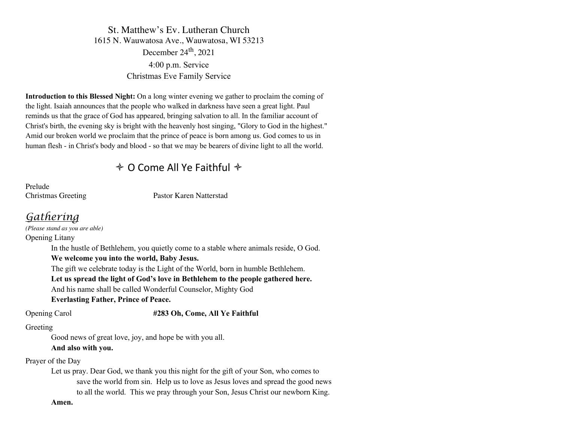St. Matthew's Ev. Lutheran Church 1615 N. Wauwatosa Ave., Wauwatosa, WI 53213 December  $24<sup>th</sup>$ , 2021 4:00 p.m. Service Christmas Eve Family Service

**Introduction to this Blessed Night:** On a long winter evening we gather to proclaim the coming of the light. Isaiah announces that the people who walked in darkness have seen a great light. Paul reminds us that the grace of God has appeared, bringing salvation to all. In the familiar account of Christ's birth, the evening sky is bright with the heavenly host singing, "Glory to God in the highest." Amid our broken world we proclaim that the prince of peace is born among us. God comes to us in human flesh - in Christ's body and blood - so that we may be bearers of divine light to all the world.

# $\triangle$  O Come All Ye Faithful  $\triangle$

Prelude

Christmas Greeting Pastor Karen Natterstad

# *Gathering*

*(Please stand as you are able)* Opening Litany In the hustle of Bethlehem, you quietly come to a stable where animals reside, O God. **We welcome you into the world, Baby Jesus.** The gift we celebrate today is the Light of the World, born in humble Bethlehem. **Let us spread the light of God's love in Bethlehem to the people gathered here.** And his name shall be called Wonderful Counselor, Mighty God **Everlasting Father, Prince of Peace.** Opening Carol **#283 Oh, Come, All Ye Faithful** Greeting Good news of great love, joy, and hope be with you all. **And also with you.** Prayer of the Day Let us pray. Dear God, we thank you this night for the gift of your Son, who comes to

save the world from sin. Help us to love as Jesus loves and spread the good news to all the world. This we pray through your Son, Jesus Christ our newborn King.

**Amen.**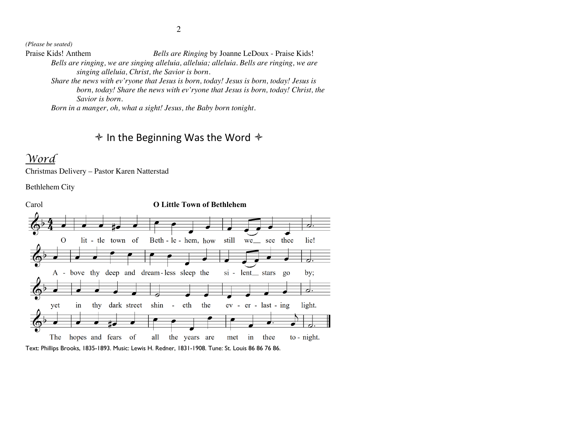*(Please be seated)*

Praise Kids! Anthem *Bells are Ringing* by Joanne LeDoux - Praise Kids! *Bells are ringing, we are singing alleluia, alleluia; alleluia. Bells are ringing, we are singing alleluia, Christ, the Savior is born.* 

*Share the news with ev'ryone that Jesus is born, today! Jesus is born, today! Jesus is born, today! Share the news with ev'ryone that Jesus is born, today! Christ, the Savior is born.* 

*Born in a manger, oh, what a sight! Jesus, the Baby born tonight.* 

# $\triangleq$  In the Beginning Was the Word  $\triangleq$

# *Word*

Christmas Delivery – Pastor Karen Natterstad

Bethlehem City

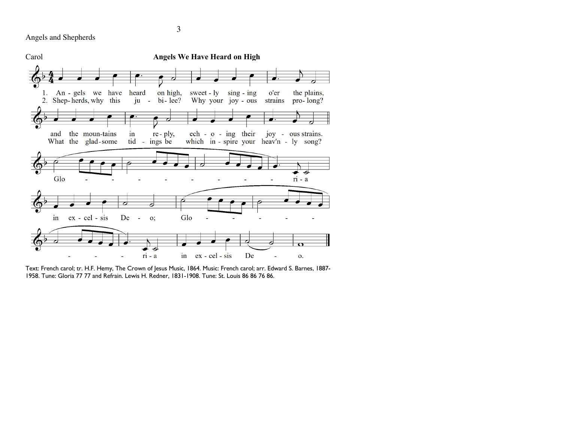Angels and Shepherds



Text: French carol; tr. H.F. Hemy, The Crown of Jesus Music, 1864. Music: French carol; arr. Edward S. Barnes, 1887- 1958. Tune: Gloria 77 77 and Refrain. Lewis H. Redner, 1831-1908. Tune: St. Louis 86 86 76 86.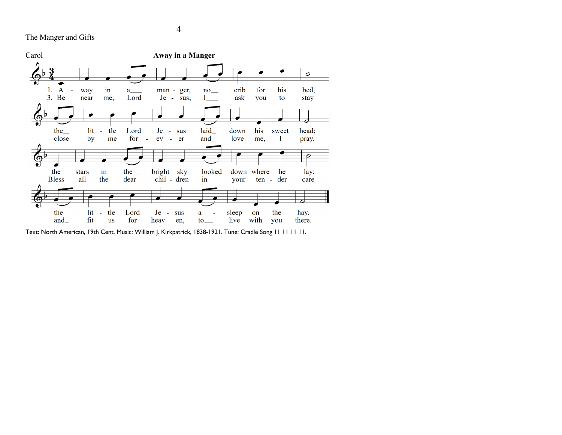The Manger and Gifts



Text: North American, 19th Cent. Music: William J. Kirkpatrick, 1838-1921. Tune: Cradle Song 11 11 11 11.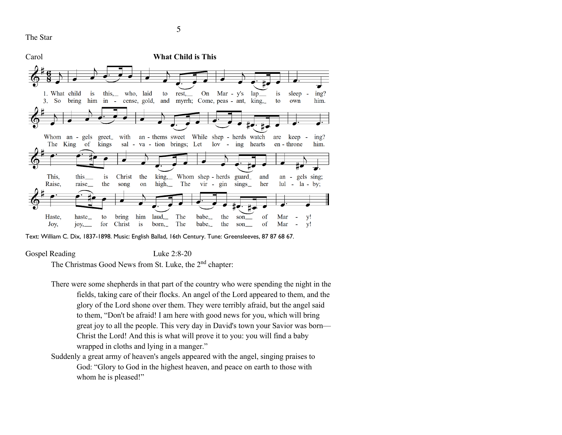The Star



Text: William C. Dix, 1837-1898. Music: English Ballad, 16th Century. Tune: Greensleeves, 87 87 68 67.

Gospel Reading Luke 2:8-20

The Christmas Good News from St. Luke, the 2<sup>nd</sup> chapter:

- There were some shepherds in that part of the country who were spending the night in the fields, taking care of their flocks. An angel of the Lord appeared to them, and the glory of the Lord shone over them. They were terribly afraid, but the angel said to them, "Don't be afraid! I am here with good news for you, which will bring great joy to all the people. This very day in David's town your Savior was born— Christ the Lord! And this is what will prove it to you: you will find a baby wrapped in cloths and lying in a manger."
- Suddenly a great army of heaven's angels appeared with the angel, singing praises to God: "Glory to God in the highest heaven, and peace on earth to those with whom he is pleased!"

5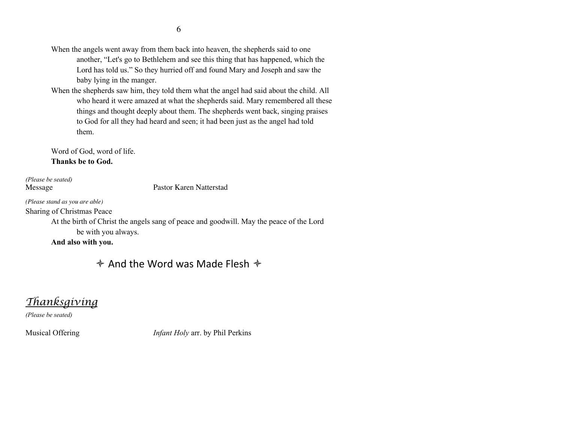- When the angels went away from them back into heaven, the shepherds said to one another, "Let's go to Bethlehem and see this thing that has happened, which the Lord has told us." So they hurried off and found Mary and Joseph and saw the baby lying in the manger.
- When the shepherds saw him, they told them what the angel had said about the child. All who heard it were amazed at what the shepherds said. Mary remembered all these things and thought deeply about them. The shepherds went back, singing praises to God for all they had heard and seen; it had been just as the angel had told them.

Word of God, word of life. **Thanks be to God.**

*(Please be seated)*

Message Pastor Karen Natterstad

*(Please stand as you are able)* Sharing of Christmas Peace

> At the birth of Christ the angels sang of peace and goodwill. May the peace of the Lord be with you always.

**And also with you.**

# $\triangle$  And the Word was Made Flesh  $\triangle$

*Thanksgiving*

*(Please be seated)*

Musical Offering *Infant Holy* arr. by Phil Perkins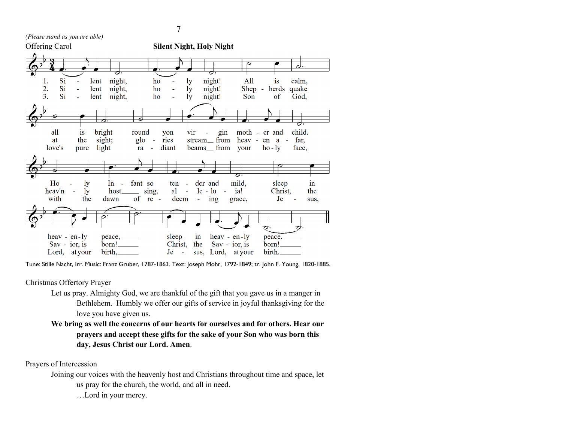*(Please stand as you are able)*



Tune: Stille Nacht, Irr. Music: Franz Gruber, 1787-1863. Text: Joseph Mohr, 1792-1849; tr. John F. Young, 1820-1885.

### Christmas Offertory Prayer

- Let us pray. Almighty God, we are thankful of the gift that you gave us in a manger in Bethlehem. Humbly we offer our gifts of service in joyful thanksgiving for the love you have given us.
- **We bring as well the concerns of our hearts for ourselves and for others. Hear our prayers and accept these gifts for the sake of your Son who was born this day, Jesus Christ our Lord. Amen**.

### Prayers of Intercession

Joining our voices with the heavenly host and Christians throughout time and space, let us pray for the church, the world, and all in need.

…Lord in your mercy.

7